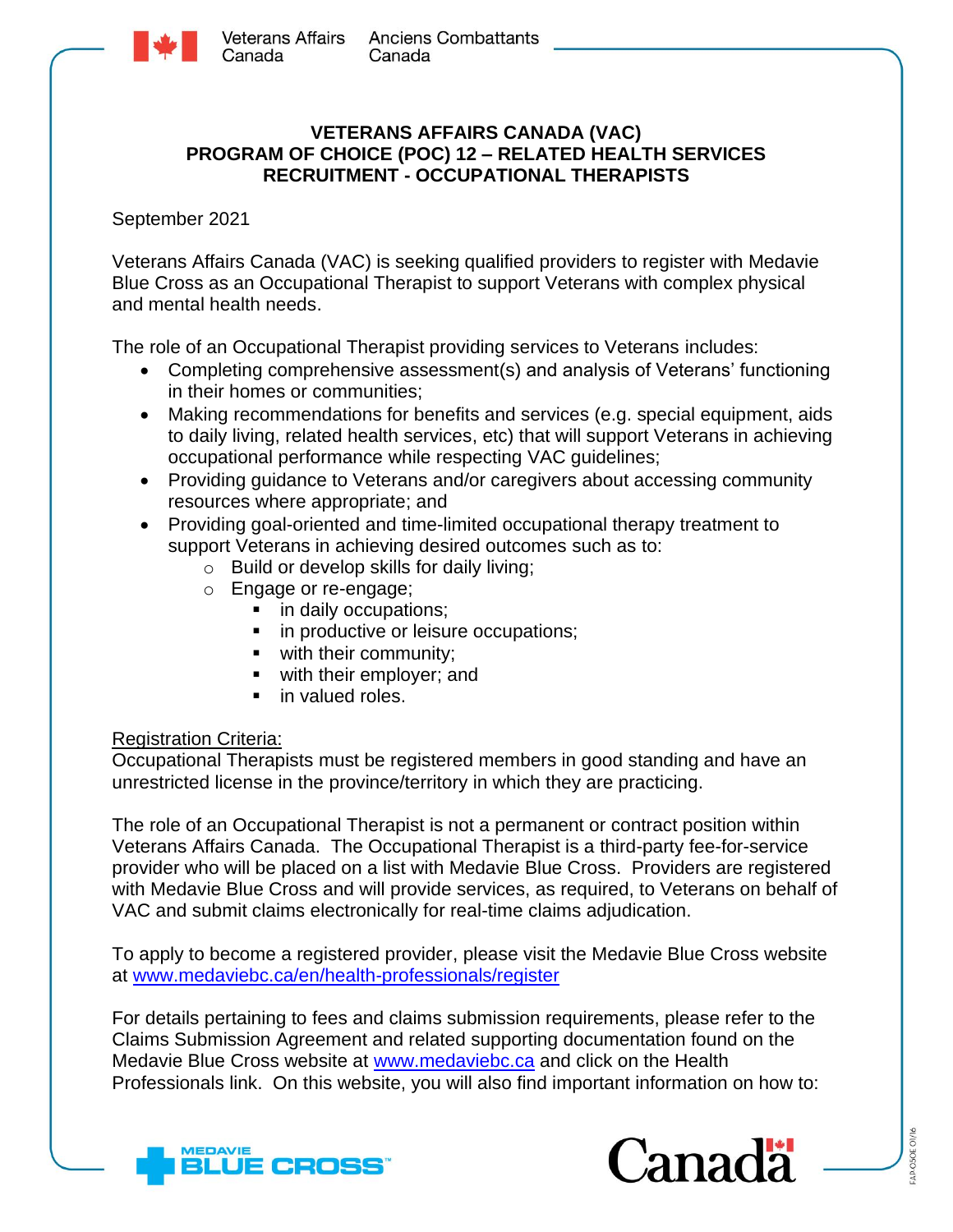

## **VETERANS AFFAIRS CANADA (VAC) PROGRAM OF CHOICE (POC) 12 – RELATED HEALTH SERVICES RECRUITMENT - OCCUPATIONAL THERAPISTS**

September 2021

Veterans Affairs Canada (VAC) is seeking qualified providers to register with Medavie Blue Cross as an Occupational Therapist to support Veterans with complex physical and mental health needs.

The role of an Occupational Therapist providing services to Veterans includes:

- Completing comprehensive assessment(s) and analysis of Veterans' functioning in their homes or communities;
- Making recommendations for benefits and services (e.g. special equipment, aids to daily living, related health services, etc) that will support Veterans in achieving occupational performance while respecting VAC guidelines;
- Providing guidance to Veterans and/or caregivers about accessing community resources where appropriate; and
- Providing goal-oriented and time-limited occupational therapy treatment to support Veterans in achieving desired outcomes such as to:
	- o Build or develop skills for daily living;
	- o Engage or re-engage;
		- in daily occupations;
		- in productive or leisure occupations;
		- with their community;
		- with their employer; and
		- in valued roles.

## Registration Criteria:

Occupational Therapists must be registered members in good standing and have an unrestricted license in the province/territory in which they are practicing.

The role of an Occupational Therapist is not a permanent or contract position within Veterans Affairs Canada. The Occupational Therapist is a third-party fee-for-service provider who will be placed on a list with Medavie Blue Cross. Providers are registered with Medavie Blue Cross and will provide services, as required, to Veterans on behalf of VAC and submit claims electronically for real-time claims adjudication.

To apply to become a registered provider, please visit the Medavie Blue Cross website at [www.medaviebc.ca/en/health-professionals/register](http://www.medaviebc.ca/en/health-professionals/register)

For details pertaining to fees and claims submission requirements, please refer to the Claims Submission Agreement and related supporting documentation found on the Medavie Blue Cross website at [www.medaviebc.ca](http://www.medaviebc.ca/) and click on the Health Professionals link. On this website, you will also find important information on how to: